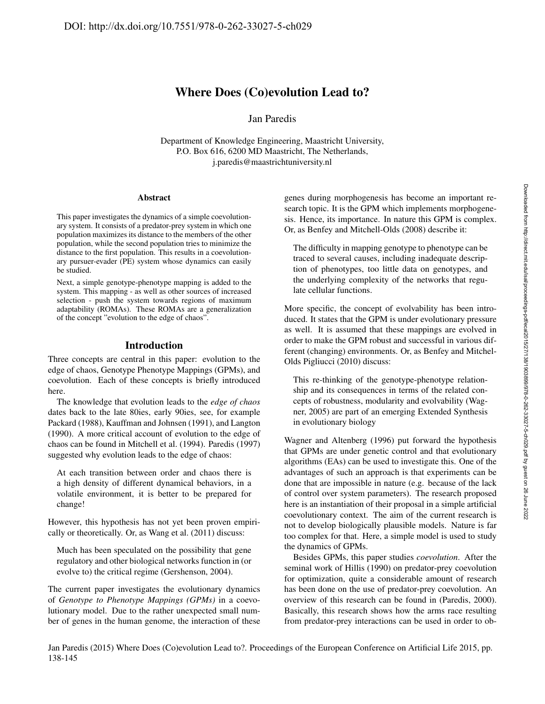# Where Does (Co)evolution Lead to?

Jan Paredis

Department of Knowledge Engineering, Maastricht University, P.O. Box 616, 6200 MD Maastricht, The Netherlands, j.paredis@maastrichtuniversity.nl

#### Abstract

This paper investigates the dynamics of a simple coevolutionary system. It consists of a predator-prey system in which one population maximizes its distance to the members of the other population, while the second population tries to minimize the distance to the first population. This results in a coevolutionary pursuer-evader (PE) system whose dynamics can easily be studied.

Next, a simple genotype-phenotype mapping is added to the system. This mapping - as well as other sources of increased selection - push the system towards regions of maximum adaptability (ROMAs). These ROMAs are a generalization of the concept "evolution to the edge of chaos".

## Introduction

Three concepts are central in this paper: evolution to the edge of chaos, Genotype Phenotype Mappings (GPMs), and coevolution. Each of these concepts is briefly introduced here.

The knowledge that evolution leads to the *edge of chaos* dates back to the late 80ies, early 90ies, see, for example Packard (1988), Kauffman and Johnsen (1991), and Langton (1990). A more critical account of evolution to the edge of chaos can be found in Mitchell et al. (1994). Paredis (1997) suggested why evolution leads to the edge of chaos:

At each transition between order and chaos there is a high density of different dynamical behaviors, in a volatile environment, it is better to be prepared for change!

However, this hypothesis has not yet been proven empirically or theoretically. Or, as Wang et al. (2011) discuss:

Much has been speculated on the possibility that gene regulatory and other biological networks function in (or evolve to) the critical regime (Gershenson, 2004).

The current paper investigates the evolutionary dynamics of *Genotype to Phenotype Mappings (GPMs)* in a coevolutionary model. Due to the rather unexpected small number of genes in the human genome, the interaction of these

genes during morphogenesis has become an important research topic. It is the GPM which implements morphogenesis. Hence, its importance. In nature this GPM is complex. Or, as Benfey and Mitchell-Olds (2008) describe it:

The difficulty in mapping genotype to phenotype can be traced to several causes, including inadequate description of phenotypes, too little data on genotypes, and the underlying complexity of the networks that regulate cellular functions.

More specific, the concept of evolvability has been introduced. It states that the GPM is under evolutionary pressure as well. It is assumed that these mappings are evolved in order to make the GPM robust and successful in various different (changing) environments. Or, as Benfey and Mitchel-Olds Pigliucci (2010) discuss:

This re-thinking of the genotype-phenotype relationship and its consequences in terms of the related concepts of robustness, modularity and evolvability (Wagner, 2005) are part of an emerging Extended Synthesis in evolutionary biology

Wagner and Altenberg (1996) put forward the hypothesis that GPMs are under genetic control and that evolutionary algorithms (EAs) can be used to investigate this. One of the advantages of such an approach is that experiments can be done that are impossible in nature (e.g. because of the lack of control over system parameters). The research proposed here is an instantiation of their proposal in a simple artificial coevolutionary context. The aim of the current research is not to develop biologically plausible models. Nature is far too complex for that. Here, a simple model is used to study the dynamics of GPMs.

Besides GPMs, this paper studies *coevolution*. After the seminal work of Hillis (1990) on predator-prey coevolution for optimization, quite a considerable amount of research has been done on the use of predator-prey coevolution. An overview of this research can be found in (Paredis, 2000). Basically, this research shows how the arms race resulting from predator-prey interactions can be used in order to ob-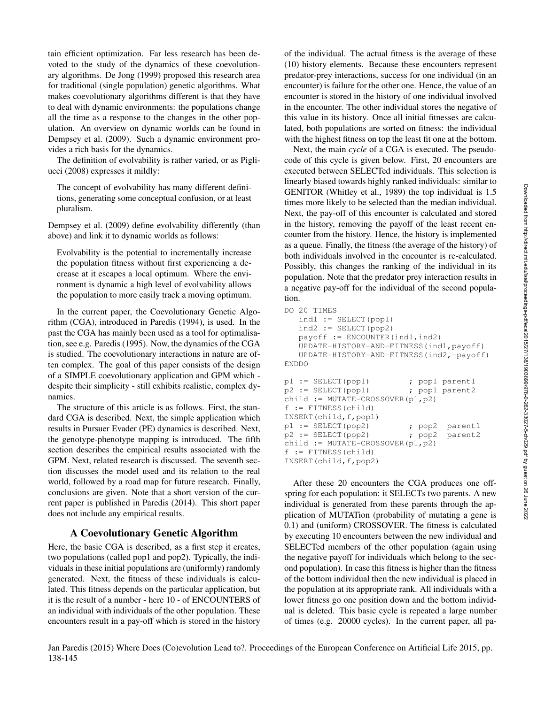tain efficient optimization. Far less research has been devoted to the study of the dynamics of these coevolutionary algorithms. De Jong (1999) proposed this research area for traditional (single population) genetic algorithms. What makes coevolutionary algorithms different is that they have to deal with dynamic environments: the populations change all the time as a response to the changes in the other population. An overview on dynamic worlds can be found in Dempsey et al. (2009). Such a dynamic environment provides a rich basis for the dynamics.

The definition of evolvability is rather varied, or as Pigliucci (2008) expresses it mildly:

The concept of evolvability has many different definitions, generating some conceptual confusion, or at least pluralism.

Dempsey et al. (2009) define evolvability differently (than above) and link it to dynamic worlds as follows:

Evolvability is the potential to incrementally increase the population fitness without first experiencing a decrease at it escapes a local optimum. Where the environment is dynamic a high level of evolvability allows the population to more easily track a moving optimum.

In the current paper, the Coevolutionary Genetic Algorithm (CGA), introduced in Paredis (1994), is used. In the past the CGA has mainly been used as a tool for optimalisation, see e.g. Paredis (1995). Now, the dynamics of the CGA is studied. The coevolutionary interactions in nature are often complex. The goal of this paper consists of the design of a SIMPLE coevolutionary application and GPM which despite their simplicity - still exhibits realistic, complex dynamics.

The structure of this article is as follows. First, the standard CGA is described. Next, the simple application which results in Pursuer Evader (PE) dynamics is described. Next, the genotype-phenotype mapping is introduced. The fifth section describes the empirical results associated with the GPM. Next, related research is discussed. The seventh section discusses the model used and its relation to the real world, followed by a road map for future research. Finally, conclusions are given. Note that a short version of the current paper is published in Paredis (2014). This short paper does not include any empirical results.

# A Coevolutionary Genetic Algorithm

Here, the basic CGA is described, as a first step it creates, two populations (called pop1 and pop2). Typically, the individuals in these initial populations are (uniformly) randomly generated. Next, the fitness of these individuals is calculated. This fitness depends on the particular application, but it is the result of a number - here 10 - of ENCOUNTERS of an individual with individuals of the other population. These encounters result in a pay-off which is stored in the history

of the individual. The actual fitness is the average of these (10) history elements. Because these encounters represent predator-prey interactions, success for one individual (in an encounter) is failure for the other one. Hence, the value of an encounter is stored in the history of one individual involved in the encounter. The other individual stores the negative of this value in its history. Once all initial fitnesses are calculated, both populations are sorted on fitness: the individual with the highest fitness on top the least fit one at the bottom.

Next, the main *cycle* of a CGA is executed. The pseudocode of this cycle is given below. First, 20 encounters are executed between SELECTed individuals. This selection is linearly biased towards highly ranked individuals: similar to GENITOR (Whitley et al., 1989) the top individual is 1.5 times more likely to be selected than the median individual. Next, the pay-off of this encounter is calculated and stored in the history, removing the payoff of the least recent encounter from the history. Hence, the history is implemented as a queue. Finally, the fitness (the average of the history) of both individuals involved in the encounter is re-calculated. Possibly, this changes the ranking of the individual in its population. Note that the predator prey interaction results in a negative pay-off for the individual of the second population.

```
DO 20 TIMES
   ind1 := SELECT(pop1)
   ind2 := SELECT(pop2)
   payoff := ENCOUNTER(ind1, ind2)
   UPDATE-HISTORY-AND-FITNESS(ind1,payoff)
   UPDATE-HISTORY-AND-FITNESS(ind2,-payoff)
ENDDO
```

```
p1 := SELECT(pop1) ; pop1 parent1
p2 := SELECT(pop1) ; pop1 parent2
child := MUTATE-CROSSOVER(p1,p2)
f := FITNESS(child)
INSERT(child,f,pop1)
p1 := SELECT(pop2) ; pop2 parent1
p2 := SELECT(pop2) ; pop2 parent2
child := MUTATE-CROSSOVER(p1,p2)
f := FITNESS(child)
INSERT(child,f,pop2)
```
After these 20 encounters the CGA produces one offspring for each population: it SELECTs two parents. A new individual is generated from these parents through the application of MUTATion (probability of mutating a gene is 0.1) and (uniform) CROSSOVER. The fitness is calculated by executing 10 encounters between the new individual and SELECTed members of the other population (again using the negative payoff for individuals which belong to the second population). In case this fitness is higher than the fitness of the bottom individual then the new individual is placed in the population at its appropriate rank. All individuals with a lower fitness go one position down and the bottom individual is deleted. This basic cycle is repeated a large number of times (e.g. 20000 cycles). In the current paper, all pa-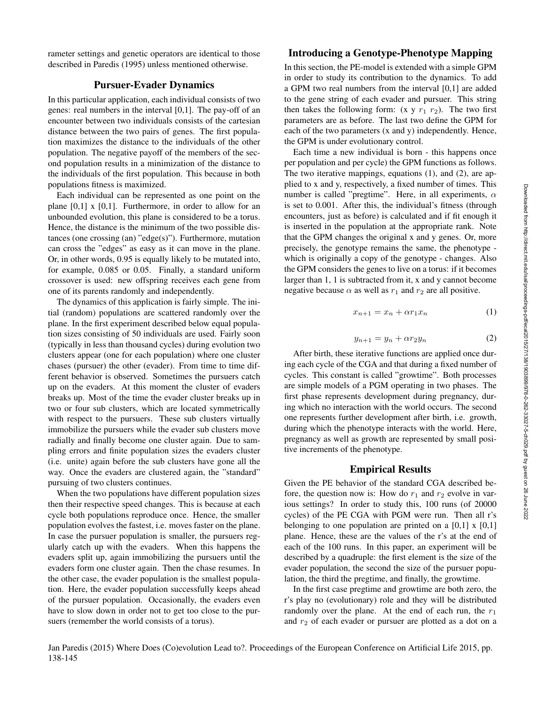rameter settings and genetic operators are identical to those described in Paredis (1995) unless mentioned otherwise.

#### Pursuer-Evader Dynamics

In this particular application, each individual consists of two genes: real numbers in the interval [0,1]. The pay-off of an encounter between two individuals consists of the cartesian distance between the two pairs of genes. The first population maximizes the distance to the individuals of the other population. The negative payoff of the members of the second population results in a minimization of the distance to the individuals of the first population. This because in both populations fitness is maximized.

Each individual can be represented as one point on the plane  $[0,1]$  x  $[0,1]$ . Furthermore, in order to allow for an unbounded evolution, this plane is considered to be a torus. Hence, the distance is the minimum of the two possible distances (one crossing (an) "edge(s)"). Furthermore, mutation can cross the "edges" as easy as it can move in the plane. Or, in other words, 0.95 is equally likely to be mutated into, for example, 0.085 or 0.05. Finally, a standard uniform crossover is used: new offspring receives each gene from one of its parents randomly and independently.

The dynamics of this application is fairly simple. The initial (random) populations are scattered randomly over the plane. In the first experiment described below equal population sizes consisting of 50 individuals are used. Fairly soon (typically in less than thousand cycles) during evolution two clusters appear (one for each population) where one cluster chases (pursuer) the other (evader). From time to time different behavior is observed. Sometimes the pursuers catch up on the evaders. At this moment the cluster of evaders breaks up. Most of the time the evader cluster breaks up in two or four sub clusters, which are located symmetrically with respect to the pursuers. These sub clusters virtually immobilize the pursuers while the evader sub clusters move radially and finally become one cluster again. Due to sampling errors and finite population sizes the evaders cluster (i.e. unite) again before the sub clusters have gone all the way. Once the evaders are clustered again, the "standard" pursuing of two clusters continues.

When the two populations have different population sizes then their respective speed changes. This is because at each cycle both populations reproduce once. Hence, the smaller population evolves the fastest, i.e. moves faster on the plane. In case the pursuer population is smaller, the pursuers regularly catch up with the evaders. When this happens the evaders split up, again immobilizing the pursuers until the evaders form one cluster again. Then the chase resumes. In the other case, the evader population is the smallest population. Here, the evader population successfully keeps ahead of the pursuer population. Occasionally, the evaders even have to slow down in order not to get too close to the pursuers (remember the world consists of a torus).

# Introducing a Genotype-Phenotype Mapping

In this section, the PE-model is extended with a simple GPM in order to study its contribution to the dynamics. To add a GPM two real numbers from the interval [0,1] are added to the gene string of each evader and pursuer. This string then takes the following form:  $(x \, y \, r_1 \, r_2)$ . The two first parameters are as before. The last two define the GPM for each of the two parameters (x and y) independently. Hence, the GPM is under evolutionary control.

Each time a new individual is born - this happens once per population and per cycle) the GPM functions as follows. The two iterative mappings, equations (1), and (2), are applied to x and y, respectively, a fixed number of times. This number is called "pregtime". Here, in all experiments,  $\alpha$ is set to 0.001. After this, the individual's fitness (through encounters, just as before) is calculated and if fit enough it is inserted in the population at the appropriate rank. Note that the GPM changes the original x and y genes. Or, more precisely, the genotype remains the same, the phenotype which is originally a copy of the genotype - changes. Also the GPM considers the genes to live on a torus: if it becomes larger than 1, 1 is subtracted from it, x and y cannot become negative because  $\alpha$  as well as  $r_1$  and  $r_2$  are all positive.

$$
x_{n+1} = x_n + \alpha r_1 x_n \tag{1}
$$

$$
y_{n+1} = y_n + \alpha r_2 y_n \tag{2}
$$

After birth, these iterative functions are applied once during each cycle of the CGA and that during a fixed number of cycles. This constant is called "growtime". Both processes are simple models of a PGM operating in two phases. The first phase represents development during pregnancy, during which no interaction with the world occurs. The second one represents further development after birth, i.e. growth, during which the phenotype interacts with the world. Here, pregnancy as well as growth are represented by small positive increments of the phenotype.

#### Empirical Results

Given the PE behavior of the standard CGA described before, the question now is: How do  $r_1$  and  $r_2$  evolve in various settings? In order to study this, 100 runs (of 20000 cycles) of the PE CGA with PGM were run. Then all r's belonging to one population are printed on a  $[0,1]$  x  $[0,1]$ plane. Hence, these are the values of the r's at the end of each of the 100 runs. In this paper, an experiment will be described by a quadruple: the first element is the size of the evader population, the second the size of the pursuer population, the third the pregtime, and finally, the growtime.

In the first case pregtime and growtime are both zero, the r's play no (evolutionary) role and they will be distributed randomly over the plane. At the end of each run, the  $r_1$ and  $r_2$  of each evader or pursuer are plotted as a dot on a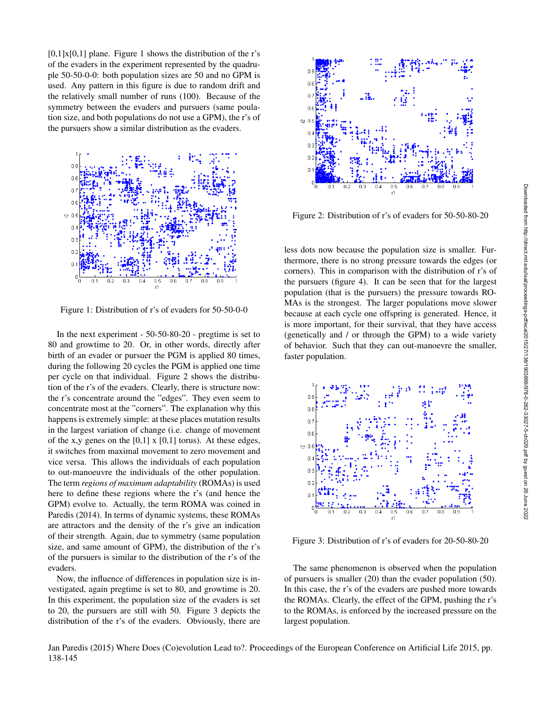$[0,1]$ x $[0,1]$  plane. Figure 1 shows the distribution of the r's of the evaders in the experiment represented by the quadruple 50-50-0-0: both population sizes are 50 and no GPM is used. Any pattern in this figure is due to random drift and the relatively small number of runs (100). Because of the symmetry between the evaders and pursuers (same poulation size, and both populations do not use a GPM), the r's of the pursuers show a similar distribution as the evaders.



Figure 1: Distribution of r's of evaders for 50-50-0-0

In the next experiment - 50-50-80-20 - pregtime is set to 80 and growtime to 20. Or, in other words, directly after birth of an evader or pursuer the PGM is applied 80 times, during the following 20 cycles the PGM is applied one time per cycle on that individual. Figure 2 shows the distribution of the r's of the evaders. Clearly, there is structure now: the r's concentrate around the "edges". They even seem to concentrate most at the "corners". The explanation why this happens is extremely simple: at these places mutation results in the largest variation of change (i.e. change of movement of the x,y genes on the  $[0,1]$  x  $[0,1]$  torus). At these edges, it switches from maximal movement to zero movement and vice versa. This allows the individuals of each population to out-manoeuvre the individuals of the other population. The term *regions of maximum adaptability* (ROMAs) is used here to define these regions where the r's (and hence the GPM) evolve to. Actually, the term ROMA was coined in Paredis (2014). In terms of dynamic systems, these ROMAs are attractors and the density of the r's give an indication of their strength. Again, due to symmetry (same population size, and same amount of GPM), the distribution of the r's of the pursuers is similar to the distribution of the r's of the evaders.

Now, the influence of differences in population size is investigated, again pregtime is set to 80, and growtime is 20. In this experiment, the population size of the evaders is set to 20, the pursuers are still with 50. Figure 3 depicts the distribution of the r's of the evaders. Obviously, there are



Figure 2: Distribution of r's of evaders for 50-50-80-20

less dots now because the population size is smaller. Furthermore, there is no strong pressure towards the edges (or corners). This in comparison with the distribution of r's of the pursuers (figure 4). It can be seen that for the largest population (that is the pursuers) the pressure towards RO-MAs is the strongest. The larger populations move slower because at each cycle one offspring is generated. Hence, it is more important, for their survival, that they have access (genetically and / or through the GPM) to a wide variety of behavior. Such that they can out-manoevre the smaller, faster population.



Figure 3: Distribution of r's of evaders for 20-50-80-20

The same phenomenon is observed when the population of pursuers is smaller (20) than the evader population (50). In this case, the r's of the evaders are pushed more towards the ROMAs. Clearly, the effect of the GPM, pushing the r's to the ROMAs, is enforced by the increased pressure on the largest population.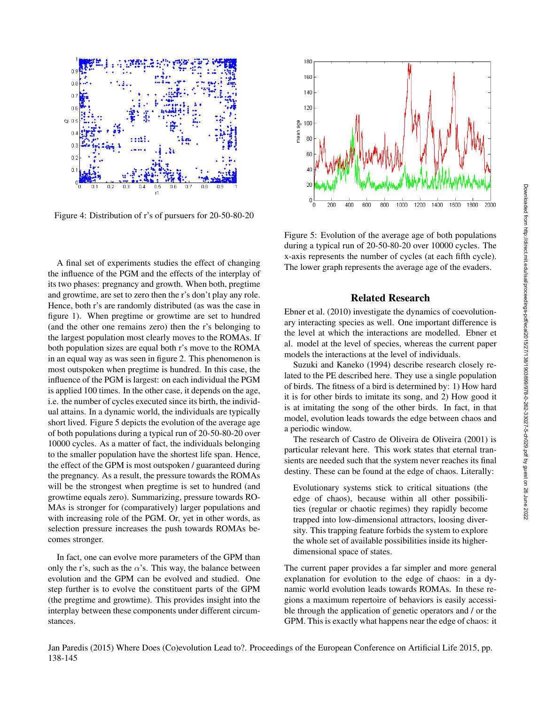

Figure 4: Distribution of r's of pursuers for 20-50-80-20

A final set of experiments studies the effect of changing the influence of the PGM and the effects of the interplay of its two phases: pregnancy and growth. When both, pregtime and growtime, are set to zero then the r's don't play any role. Hence, both r's are randomly distributed (as was the case in figure 1). When pregtime or growtime are set to hundred (and the other one remains zero) then the r's belonging to the largest population most clearly moves to the ROMAs. If both population sizes are equal both r's move to the ROMA in an equal way as was seen in figure 2. This phenomenon is most outspoken when pregtime is hundred. In this case, the influence of the PGM is largest: on each individual the PGM is applied 100 times. In the other case, it depends on the age, i.e. the number of cycles executed since its birth, the individual attains. In a dynamic world, the individuals are typically short lived. Figure 5 depicts the evolution of the average age of both populations during a typical run of 20-50-80-20 over 10000 cycles. As a matter of fact, the individuals belonging to the smaller population have the shortest life span. Hence, the effect of the GPM is most outspoken / guaranteed during the pregnancy. As a result, the pressure towards the ROMAs will be the strongest when pregtime is set to hundred (and growtime equals zero). Summarizing, pressure towards RO-MAs is stronger for (comparatively) larger populations and with increasing role of the PGM. Or, yet in other words, as selection pressure increases the push towards ROMAs becomes stronger.

In fact, one can evolve more parameters of the GPM than only the r's, such as the  $\alpha$ 's. This way, the balance between evolution and the GPM can be evolved and studied. One step further is to evolve the constituent parts of the GPM (the pregtime and growtime). This provides insight into the interplay between these components under different circumstances.



Figure 5: Evolution of the average age of both populations during a typical run of 20-50-80-20 over 10000 cycles. The x-axis represents the number of cycles (at each fifth cycle). The lower graph represents the average age of the evaders.

# Related Research

Ebner et al. (2010) investigate the dynamics of coevolutionary interacting species as well. One important difference is the level at which the interactions are modelled. Ebner et al. model at the level of species, whereas the current paper models the interactions at the level of individuals.

Suzuki and Kaneko (1994) describe research closely related to the PE described here. They use a single population of birds. The fitness of a bird is determined by: 1) How hard it is for other birds to imitate its song, and 2) How good it is at imitating the song of the other birds. In fact, in that model, evolution leads towards the edge between chaos and a periodic window.

The research of Castro de Oliveira de Oliveira (2001) is particular relevant here. This work states that eternal transients are needed such that the system never reaches its final destiny. These can be found at the edge of chaos. Literally:

Evolutionary systems stick to critical situations (the edge of chaos), because within all other possibilities (regular or chaotic regimes) they rapidly become trapped into low-dimensional attractors, loosing diversity. This trapping feature forbids the system to explore the whole set of available possibilities inside its higherdimensional space of states.

The current paper provides a far simpler and more general explanation for evolution to the edge of chaos: in a dynamic world evolution leads towards ROMAs. In these regions a maximum repertoire of behaviors is easily accessible through the application of genetic operators and / or the GPM. This is exactly what happens near the edge of chaos: it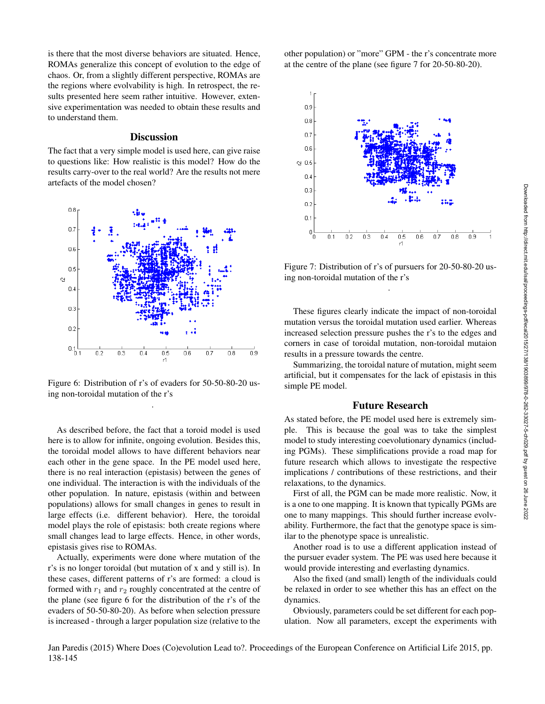is there that the most diverse behaviors are situated. Hence, ROMAs generalize this concept of evolution to the edge of chaos. Or, from a slightly different perspective, ROMAs are the regions where evolvability is high. In retrospect, the results presented here seem rather intuitive. However, extensive experimentation was needed to obtain these results and to understand them.

### **Discussion**

The fact that a very simple model is used here, can give raise to questions like: How realistic is this model? How do the results carry-over to the real world? Are the results not mere artefacts of the model chosen?



Figure 6: Distribution of r's of evaders for 50-50-80-20 using non-toroidal mutation of the r's .

As described before, the fact that a toroid model is used here is to allow for infinite, ongoing evolution. Besides this, the toroidal model allows to have different behaviors near each other in the gene space. In the PE model used here, there is no real interaction (epistasis) between the genes of one individual. The interaction is with the individuals of the other population. In nature, epistasis (within and between populations) allows for small changes in genes to result in large effects (i.e. different behavior). Here, the toroidal model plays the role of epistasis: both create regions where small changes lead to large effects. Hence, in other words, epistasis gives rise to ROMAs.

Actually, experiments were done where mutation of the r's is no longer toroidal (but mutation of x and y still is). In these cases, different patterns of r's are formed: a cloud is formed with  $r_1$  and  $r_2$  roughly concentrated at the centre of the plane (see figure 6 for the distribution of the r's of the evaders of 50-50-80-20). As before when selection pressure is increased - through a larger population size (relative to the other population) or "more" GPM - the r's concentrate more at the centre of the plane (see figure 7 for 20-50-80-20).



Figure 7: Distribution of r's of pursuers for 20-50-80-20 using non-toroidal mutation of the r's .

These figures clearly indicate the impact of non-toroidal mutation versus the toroidal mutation used earlier. Whereas increased selection pressure pushes the r's to the edges and corners in case of toroidal mutation, non-toroidal mutaion results in a pressure towards the centre.

Summarizing, the toroidal nature of mutation, might seem artificial, but it compensates for the lack of epistasis in this simple PE model.

#### Future Research

As stated before, the PE model used here is extremely simple. This is because the goal was to take the simplest model to study interesting coevolutionary dynamics (including PGMs). These simplifications provide a road map for future research which allows to investigate the respective implications / contributions of these restrictions, and their relaxations, to the dynamics.

First of all, the PGM can be made more realistic. Now, it is a one to one mapping. It is known that typically PGMs are one to many mappings. This should further increase evolvability. Furthermore, the fact that the genotype space is similar to the phenotype space is unrealistic.

Another road is to use a different application instead of the pursuer evader system. The PE was used here because it would provide interesting and everlasting dynamics.

Also the fixed (and small) length of the individuals could be relaxed in order to see whether this has an effect on the dynamics.

Obviously, parameters could be set different for each population. Now all parameters, except the experiments with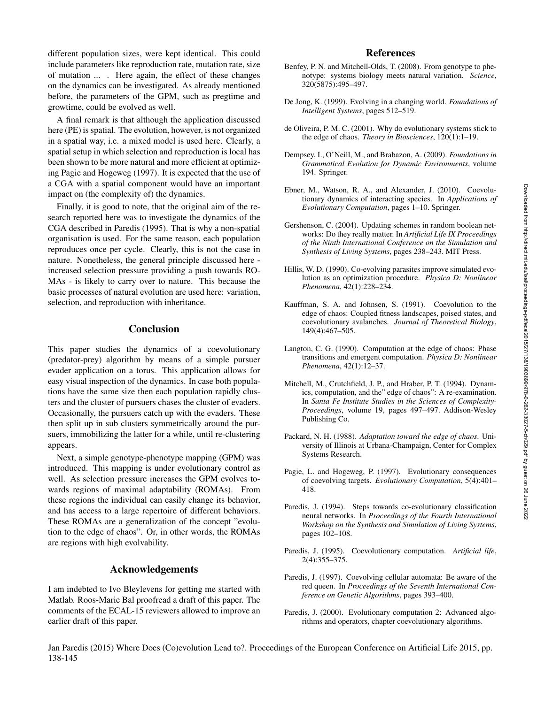different population sizes, were kept identical. This could include parameters like reproduction rate, mutation rate, size of mutation ... . Here again, the effect of these changes on the dynamics can be investigated. As already mentioned before, the parameters of the GPM, such as pregtime and growtime, could be evolved as well.

A final remark is that although the application discussed here (PE) is spatial. The evolution, however, is not organized in a spatial way, i.e. a mixed model is used here. Clearly, a spatial setup in which selection and reproduction is local has been shown to be more natural and more efficient at optimizing Pagie and Hogeweg (1997). It is expected that the use of a CGA with a spatial component would have an important impact on (the complexity of) the dynamics.

Finally, it is good to note, that the original aim of the research reported here was to investigate the dynamics of the CGA described in Paredis (1995). That is why a non-spatial organisation is used. For the same reason, each population reproduces once per cycle. Clearly, this is not the case in nature. Nonetheless, the general principle discussed here increased selection pressure providing a push towards RO-MAs - is likely to carry over to nature. This because the basic processes of natural evolution are used here: variation, selection, and reproduction with inheritance.

# Conclusion

This paper studies the dynamics of a coevolutionary (predator-prey) algorithm by means of a simple pursuer evader application on a torus. This application allows for easy visual inspection of the dynamics. In case both populations have the same size then each population rapidly clusters and the cluster of pursuers chases the cluster of evaders. Occasionally, the pursuers catch up with the evaders. These then split up in sub clusters symmetrically around the pursuers, immobilizing the latter for a while, until re-clustering appears.

Next, a simple genotype-phenotype mapping (GPM) was introduced. This mapping is under evolutionary control as well. As selection pressure increases the GPM evolves towards regions of maximal adaptability (ROMAs). From these regions the individual can easily change its behavior, and has access to a large repertoire of different behaviors. These ROMAs are a generalization of the concept "evolution to the edge of chaos". Or, in other words, the ROMAs are regions with high evolvability.

# Acknowledgements

I am indebted to Ivo Bleylevens for getting me started with Matlab. Roos-Marie Bal proofread a draft of this paper. The comments of the ECAL-15 reviewers allowed to improve an earlier draft of this paper.

#### References

- Benfey, P. N. and Mitchell-Olds, T. (2008). From genotype to phenotype: systems biology meets natural variation. *Science*, 320(5875):495–497.
- De Jong, K. (1999). Evolving in a changing world. *Foundations of Intelligent Systems*, pages 512–519.
- de Oliveira, P. M. C. (2001). Why do evolutionary systems stick to the edge of chaos. *Theory in Biosciences*, 120(1):1–19.
- Dempsey, I., O'Neill, M., and Brabazon, A. (2009). *Foundations in Grammatical Evolution for Dynamic Environments*, volume 194. Springer.
- Ebner, M., Watson, R. A., and Alexander, J. (2010). Coevolutionary dynamics of interacting species. In *Applications of Evolutionary Computation*, pages 1–10. Springer.
- Gershenson, C. (2004). Updating schemes in random boolean networks: Do they really matter. In *Artificial Life IX Proceedings of the Ninth International Conference on the Simulation and Synthesis of Living Systems*, pages 238–243. MIT Press.
- Hillis, W. D. (1990). Co-evolving parasites improve simulated evolution as an optimization procedure. *Physica D: Nonlinear Phenomena*, 42(1):228–234.
- Kauffman, S. A. and Johnsen, S. (1991). Coevolution to the edge of chaos: Coupled fitness landscapes, poised states, and coevolutionary avalanches. *Journal of Theoretical Biology*, 149(4):467–505.
- Langton, C. G. (1990). Computation at the edge of chaos: Phase transitions and emergent computation. *Physica D: Nonlinear Phenomena*, 42(1):12–37.
- Mitchell, M., Crutchfield, J. P., and Hraber, P. T. (1994). Dynamics, computation, and the" edge of chaos": A re-examination. In *Santa Fe Institute Studies in the Sciences of Complexity-Proceedings*, volume 19, pages 497–497. Addison-Wesley Publishing Co.
- Packard, N. H. (1988). *Adaptation toward the edge of chaos*. University of Illinois at Urbana-Champaign, Center for Complex Systems Research.
- Pagie, L. and Hogeweg, P. (1997). Evolutionary consequences of coevolving targets. *Evolutionary Computation*, 5(4):401– 418.
- Paredis, J. (1994). Steps towards co-evolutionary classification neural networks. In *Proceedings of the Fourth International Workshop on the Synthesis and Simulation of Living Systems*, pages 102–108.
- Paredis, J. (1995). Coevolutionary computation. *Artificial life*, 2(4):355–375.
- Paredis, J. (1997). Coevolving cellular automata: Be aware of the red queen. In *Proceedings of the Seventh International Conference on Genetic Algorithms*, pages 393–400.
- Paredis, J. (2000). Evolutionary computation 2: Advanced algorithms and operators, chapter coevolutionary algorithms.